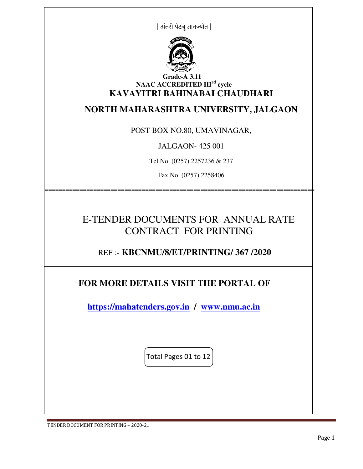



#### **Grade-A 3.11 NAAC ACCREDITED IIIrd cycle KAVAYITRI BAHINABAI CHAUDHARI**

### **NORTH MAHARASHTRA UNIVERSITY, JALGAON**

POST BOX NO.80, UMAVINAGAR,

JALGAON- 425 001

Tel.No. (0257) 2257236 & 237

Fax No. (0257) 2258406

==============================================================================

# E-TENDER DOCUMENTS FOR ANNUAL RATE CONTRACT FOR PRINTING

REF :- **KBCNMU/8/ET/PRINTING/ 367 /2020**

### **FOR MORE DETAILS VISIT THE PORTAL OF**

 **https://mahatenders.gov.in / www.nmu.ac.in** 

Total Pages 01 to 12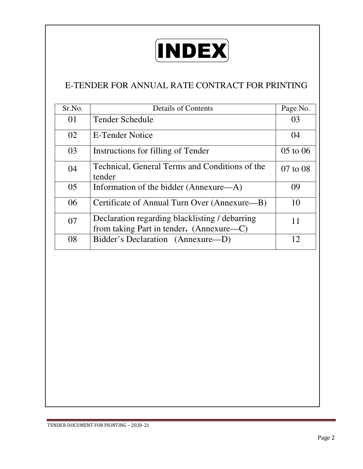

## E-TENDER FOR ANNUAL RATE CONTRACT FOR PRINTING

| Sr.No. | <b>Details of Contents</b>                                                                 | Page No.     |
|--------|--------------------------------------------------------------------------------------------|--------------|
| 01     | <b>Tender Schedule</b>                                                                     | 03           |
| 02     | E-Tender Notice                                                                            | 04           |
| 03     | Instructions for filling of Tender                                                         | $05$ to $06$ |
| 04     | Technical, General Terms and Conditions of the<br>tender                                   | $07$ to $08$ |
| 05     | Information of the bidder (Annexure—A)                                                     | 09           |
| 06     | Certificate of Annual Turn Over (Annexure—B)                                               | 10           |
| 07     | Declaration regarding blacklisting / debarring<br>from taking Part in tender. (Annexure—C) | 11           |
| 08     | Bidder's Declaration (Annexure-D)                                                          | 12           |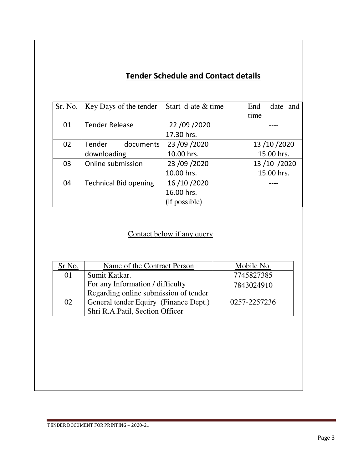# **Tender Schedule and Contact details**

| Sr. No. | Key Days of the tender       | Start d-ate & time | End<br>date and |
|---------|------------------------------|--------------------|-----------------|
|         |                              |                    | time            |
| 01      | <b>Tender Release</b>        | 22 /09 /2020       |                 |
|         |                              | 17.30 hrs.         |                 |
| 02      | Tender<br>documents          | 23 /09 /2020       | 13 /10 /2020    |
|         | downloading                  | 10.00 hrs.         | 15.00 hrs.      |
| 03      | Online submission            | 23 /09 /2020       | 13/10/2020      |
|         |                              | 10.00 hrs.         | 15.00 hrs.      |
| 04      | <b>Technical Bid opening</b> | 16 / 10 / 2020     |                 |
|         |                              | 16.00 hrs.         |                 |
|         |                              | (If possible)      |                 |

# Contact below if any query

| Sr.No. | Name of the Contract Person           | Mobile No.   |
|--------|---------------------------------------|--------------|
| 01     | Sumit Katkar.                         | 7745827385   |
|        | For any Information / difficulty      | 7843024910   |
|        | Regarding online submission of tender |              |
| 02     | General tender Equiry (Finance Dept.) | 0257-2257236 |
|        | Shri R.A.Patil, Section Officer       |              |
|        |                                       |              |
|        |                                       |              |
|        |                                       |              |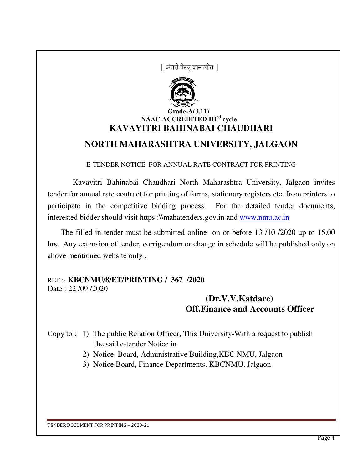|| अंतरी पेटव ज्ञानज्योत ||



#### **Grade-A(3.11) NAAC ACCREDITED IIIrd cycle KAVAYITRI BAHINABAI CHAUDHARI**

## **NORTH MAHARASHTRA UNIVERSITY, JALGAON**

E-TENDER NOTICE FOR ANNUAL RATE CONTRACT FOR PRINTING

 Kavayitri Bahinabai Chaudhari North Maharashtra University, Jalgaon invites tender for annual rate contract for printing of forms, stationary registers etc. from printers to participate in the competitive bidding process. For the detailed tender documents, interested bidder should visit https :\\mahatenders.gov.in and www.nmu.ac.in

 The filled in tender must be submitted online on or before 13 /10 /2020 up to 15.00 hrs. Any extension of tender, corrigendum or change in schedule will be published only on above mentioned website only .

# REF :- **KBCNMU/8/ET/PRINTING / 367 /2020**

Date : 22 /09 /2020

 **(Dr.V.V.Katdare) Off.Finance and Accounts Officer** 

Copy to : 1) The public Relation Officer, This University-With a request to publish the said e-tender Notice in

2) Notice Board, Administrative Building,KBC NMU, Jalgaon

3) Notice Board, Finance Departments, KBCNMU, Jalgaon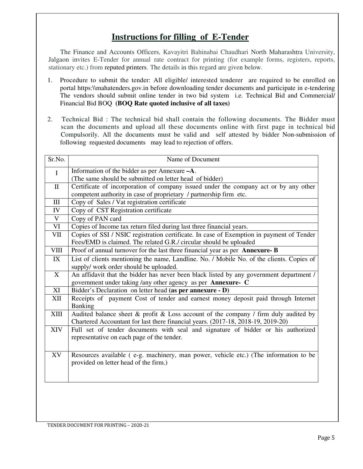### **Instructions for filling of E-Tender**

 The Finance and Accounts Officers, Kavayitri Bahinabai Chaudhari North Maharashtra University, Jalgaon invites E-Tender for annual rate contract for printing (for example forms, registers, reports, stationary etc.) from reputed printers. The details in this regard are given below.

- 1. Procedure to submit the tender: All eligible/ interested tenderer are required to be enrolled on portal https:\\mahatenders.gov.in before downloading tender documents and participate in e-tendering The vendors should submit online tender in two bid system i.e. Technical Bid and Commercial/ Financial Bid BOQ **(BOQ Rate quoted inclusive of all taxes)**
- 2. Technical Bid : The technical bid shall contain the following documents. The Bidder must scan the documents and upload all these documents online with first page in technical bid Compulsorily. All the documents must be valid and self attested by bidder Non-submission of following requested documents may lead to rejection of offers.

| Sr.No.       | Name of Document                                                                                                                                                              |
|--------------|-------------------------------------------------------------------------------------------------------------------------------------------------------------------------------|
| $\mathbf I$  | Information of the bidder as per Annexure -A.                                                                                                                                 |
|              | (The same should be submitted on letter head of bidder)                                                                                                                       |
| $\mathbf{I}$ | Certificate of incorporation of company issued under the company act or by any other                                                                                          |
|              | competent authority in case of proprietary / partnership firm etc.                                                                                                            |
| $III$        | Copy of Sales / Vat registration certificate                                                                                                                                  |
| IV           | Copy of CST Registration certificate                                                                                                                                          |
| $\mathbf V$  | Copy of PAN card                                                                                                                                                              |
| <b>VI</b>    | Copies of Income tax return filed during last three financial years.                                                                                                          |
| VII          | Copies of SSI / NSIC registration certificate. In case of Exemption in payment of Tender<br>Fees/EMD is claimed. The related G.R./ circular should be uploaded                |
| <b>VIII</b>  | Proof of annual turnover for the last three financial year as per Annexure-B                                                                                                  |
| IX           | List of clients mentioning the name, Landline. No. / Mobile No. of the clients. Copies of<br>supply/ work order should be uploaded.                                           |
| X            | An affidavit that the bidder has never been black listed by any government department /<br>government under taking /any other agency as per Annexure- C                       |
| XI           | Bidder's Declaration on letter head (as per annexure - D)                                                                                                                     |
| XII          | Receipts of payment Cost of tender and earnest money deposit paid through Internet<br><b>Banking</b>                                                                          |
| XIII         | Audited balance sheet $\&$ profit $\&$ Loss account of the company / firm duly audited by<br>Chartered Accountant for last there financial years. (2017-18, 2018-19, 2019-20) |
| XIV          | Full set of tender documents with seal and signature of bidder or his authorized<br>representative on each page of the tender.                                                |
| XV           | Resources available (e-g. machinery, man power, vehicle etc.) (The information to be<br>provided on letter head of the firm.)                                                 |
|              |                                                                                                                                                                               |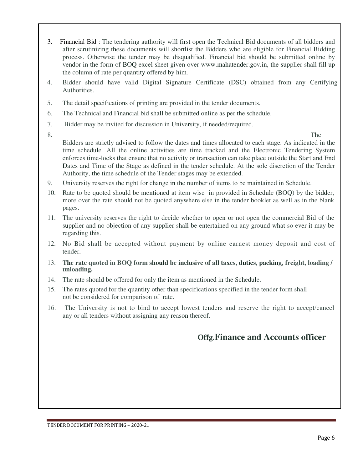- 3. Financial Bid : The tendering authority will first open the Technical Bid documents of all bidders and after scrutinizing these documents will shortlist the Bidders who are eligible for Financial Bidding process. Otherwise the tender may be disqualified. Financial bid should be submitted online by vendor in the form of BOQ excel sheet given over www.mahatender.gov.in, the supplier shall fill up the column of rate per quantity offered by him.
- 4. Bidder should have valid Digital Signature Certificate (DSC) obtained from any Certifying Authorities.
- 5. The detail specifications of printing are provided in the tender documents.
- 6. The Technical and Financial bid shall be submitted online as per the schedule.
- 7. Bidder may be invited for discussion in University, if needed/required.
- 

8. The Bidders are strictly advised to follow the dates and times allocated to each stage. As indicated in the time schedule. All the online activities are time tracked and the Electronic Tendering System enforces time-locks that ensure that no activity or transaction can take place outside the Start and End Dates and Time of the Stage as defined in the tender schedule. At the sole discretion of the Tender Authority, the time schedule of the Tender stages may be extended.

- 9. University reserves the right for change in the number of items to be maintained in Schedule.
- 10. Rate to be quoted should be mentioned at item wise in provided in Schedule (BOQ) by the bidder, more over the rate should not be quoted anywhere else in the tender booklet as well as in the blank pages.
- 11. The university reserves the right to decide whether to open or not open the commercial Bid of the supplier and no objection of any supplier shall be entertained on any ground what so ever it may be regarding this.
- 12. No Bid shall be accepted without payment by online earnest money deposit and cost of tender.
- 13. **The rate quoted in BOQ form should be inclusive of all taxes, duties, packing, freight, loading / unloading.**
- 14. The rate should be offered for only the item as mentioned in the Schedule.
- 15. The rates quoted for the quantity other than specifications specified in the tender form shall not be considered for comparison of rate.
- 16. The University is not to bind to accept lowest tenders and reserve the right to accept/cancel any or all tenders without assigning any reason thereof.

#### **Offg.Finance and Accounts officer**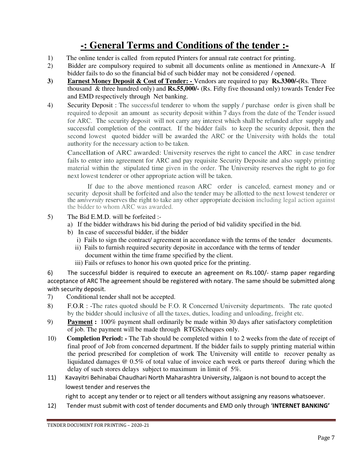# **-: General Terms and Conditions of the tender :-**

- 1) The online tender is called from reputed Printers for annual rate contract for printing.
- 2) Bidder are compulsory required to submit all documents online as mentioned in Annexure-A If bidder fails to do so the financial bid of such bidder may not be considered / opened.
- **3) Earnest Money Deposit & Cost of Tender:** Vendors are required to pay **Rs.3300/-(**Rs. Three thousand & three hundred only) and **Rs.55,000/-** (Rs. Fifty five thousand only) towards Tender Fee and EMD respectively through Net banking.
- 4) Security Deposit : The successful tenderer to whom the supply / purchase order is given shall be required to deposit an amount as security deposit within 7 days from the date of the Tender issued for ARC. The security deposit will not carry any interest which shall be refunded after supply and successful completion of the contract. If the bidder fails to keep the security deposit, then the second lowest quoted bidder will be awarded the ARC or the University with holds the total authority for the necessary action to be taken.

Cancellation of ARC awarded: University reserves the right to cancel the ARC in case tendrer fails to enter into agreement for ARC and pay requisite Security Deposite and also supply printing material within the stipulated time given in the order. The University reserves the right to go for next lowest tenderer or other appropriate action will be taken.

If due to the above mentioned reason ARC order is canceled, earnest money and or security deposit shall be forfeited and also the tender may be allotted to the next lowest tenderer or the *university* reserves the right to take any other appropriate decision including legal action against the bidder to whom ARC was awarded.

- 5) The Bid E.M.D. will be forfeited :
	- a) If the bidder withdraws his bid during the period of bid validity specified in the bid.
	- b) In case of successful bidder, if the bidder
		- i) Fails to sign the contract/ agreement in accordance with the terms of the tender documents.
		- ii) Fails to furnish required security deposite in accordance with the terms of tender
		- document within the time frame specified by the client.
		- iii) Fails or refuses to honor his own quoted price for the printing.

6) The successful bidder is required to execute an agreement on Rs.100/- stamp paper regarding acceptance of ARC The agreement should be registered with notary. The same should be submitted along with security deposit.

- 7) Conditional tender shall not be accepted.
- 8) F.O.R : -The rates quoted should be F.O. R Concerned University departments. The rate quoted by the bidder should inclusive of all the taxes, duties, loading and unloading, freight etc.
- 9) **Payment :** 100% payment shall ordinarily be made within 30 days after satisfactory completition of job. The payment will be made through RTGS/cheques only.
- 10) **Completion Period:** The Tab should be completed within 1 to 2 weeks from the date of receipt of final proof of Job from concerned department. If the bidder fails to supply printing material within the period prescribed for completion of work The University will entitle to recover penalty as liquidated damages @ 0.5% of total value of invoice each week or parts thereof during which the delay of such stores delays subject to maximum in limit of 5%.
- 11) Kavayitri Behinabai Chaudhari North Maharashtra University, Jalgaon is not bound to accept the lowest tender and reserves the

right to accept any tender or to reject or all tenders without assigning any reasons whatsoever.

12) Tender must submit with cost of tender documents and EMD only through '**INTERNET BANKING'**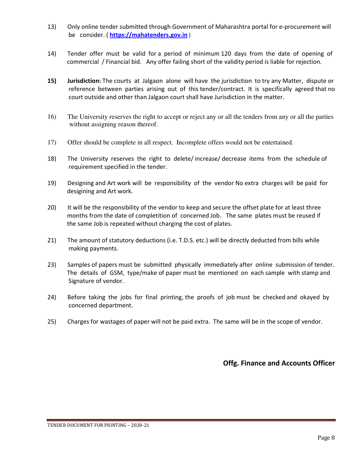- 13) Only online tender submitted through Government of Maharashtra portal for e-procurement will be consider. ( **https://mahatenders.gov.in** )
- 14) Tender offer must be valid for a period of minimum 120 days from the date of opening of commercial / Financial bid. Any offer failing short of the validity period is liable for rejection.
- **15) Jurisdiction:** The courts at Jalgaon alone will have the jurisdiction to try any Matter, dispute or reference between parties arising out of this tender/contract. It is specifically agreed that no court outside and other than Jalgaon court shall have Jurisdiction in the matter.
- 16) The University reserves the right to accept or reject any or all the tenders from any or all the parties without assigning reason thereof.
- 17) Offer should be complete in all respect. Incomplete offers would not be entertained.
- 18) The University reserves the right to delete/ increase/ decrease items from the schedule of requirement specified in the tender.
- 19) Designing and Art work will be responsibility of the vendor No extra charges will be paid for desigining and Art work.
- 20) It will be the responsibility of the vendor to keep and secure the offset plate for at least three months from the date of completition of concerned Job. The same plates must be reused if the same Job is repeated without charging the cost of plates.
- 21) The amount of statutory deductions (i.e. T.D.S. etc.) will be directly deducted from bills while making payments.
- 23) Samples of papers must be submitted physically immediately after online submission of tender. The details of GSM, type/make of paper must be mentioned on each sample with stamp and Signature of vendor.
- 24) Before taking the jobs for final printing, the proofs of job must be checked and okayed by concerned department.
- 25) Charges for wastages of paper will not be paid extra. The same will be in the scope of vendor.

 **Offg. Finance and Accounts Officer**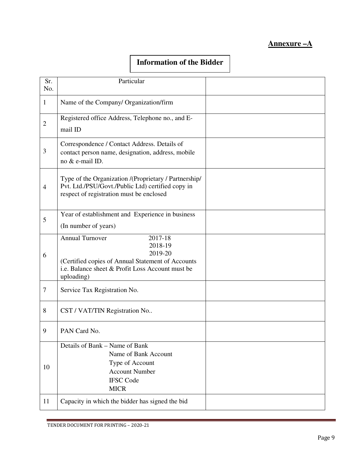#### **Annexure –A**

#### **Information of the Bidder**

| Sr.<br>No.     | Particular                                                                                                                                                                     |  |
|----------------|--------------------------------------------------------------------------------------------------------------------------------------------------------------------------------|--|
| $\mathbf{1}$   | Name of the Company/ Organization/firm                                                                                                                                         |  |
| $\overline{2}$ | Registered office Address, Telephone no., and E-<br>mail ID                                                                                                                    |  |
| $\mathfrak{Z}$ | Correspondence / Contact Address. Details of<br>contact person name, designation, address, mobile<br>no & e-mail ID.                                                           |  |
| $\overline{4}$ | Type of the Organization /(Proprietary / Partnership/<br>Pvt. Ltd./PSU/Govt./Public Ltd) certified copy in<br>respect of registration must be enclosed                         |  |
| 5              | Year of establishment and Experience in business<br>(In number of years)                                                                                                       |  |
| 6              | <b>Annual Turnover</b><br>2017-18<br>2018-19<br>2019-20<br>(Certified copies of Annual Statement of Accounts<br>i.e. Balance sheet & Profit Loss Account must be<br>uploading) |  |
| $\tau$         | Service Tax Registration No.                                                                                                                                                   |  |
| 8              | CST / VAT/TIN Registration No                                                                                                                                                  |  |
| 9              | PAN Card No.                                                                                                                                                                   |  |
| 10             | Details of Bank - Name of Bank<br>Name of Bank Account<br>Type of Account<br><b>Account Number</b><br><b>IFSC Code</b><br><b>MICR</b>                                          |  |
| 11             | Capacity in which the bidder has signed the bid                                                                                                                                |  |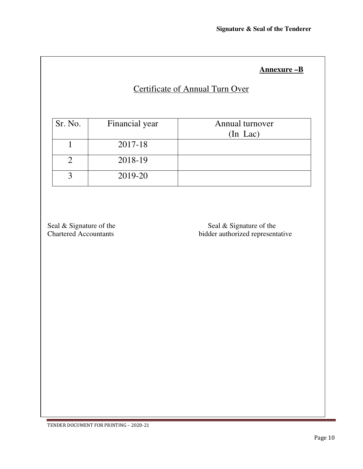#### **Annexure –B**

# Certificate of Annual Turn Over

| Sr. No. | Financial year | Annual turnover |
|---------|----------------|-----------------|
|         |                | $(In$ Lac $)$   |
|         | 2017-18        |                 |
|         | 2018-19        |                 |
|         | 2019-20        |                 |

Seal & Signature of the Seal & Signature of the Seal & Signature of the Chartered Accountants bidder authorized representative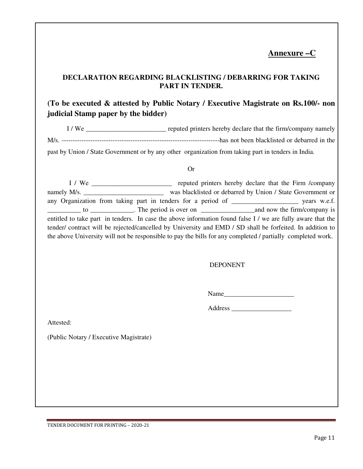### **Annexure –C**

#### **DECLARATION REGARDING BLACKLISTING / DEBARRING FOR TAKING PART IN TENDER.**

#### **(To be executed & attested by Public Notary / Executive Magistrate on Rs.100/- non judicial Stamp paper by the bidder)**

I / We \_\_\_\_\_\_\_\_\_\_\_\_\_\_\_\_\_\_\_\_\_\_\_\_ reputed printers hereby declare that the firm/company namely M/s. -----------------------------------------------------------------------has not been blacklisted or debarred in the past by Union / State Government or by any other organization from taking part in tenders in India.

#### Or

 I / We \_\_\_\_\_\_\_\_\_\_\_\_\_\_\_\_\_\_\_\_\_\_\_\_ reputed printers hereby declare that the Firm /company namely M/s. was blacklisted or debarred by Union / State Government or any Organization from taking part in tenders for a period of \_\_\_\_\_\_\_\_\_\_\_\_\_\_\_\_\_\_\_\_ years w.e.f. \_\_\_\_\_\_\_\_\_\_ to \_\_\_\_\_\_\_\_\_\_\_\_\_. The period is over on \_\_\_\_\_\_\_\_\_\_\_\_\_\_\_\_and now the firm/company is entitled to take part in tenders. In case the above information found false I / we are fully aware that the tender/ contract will be rejected/cancelled by University and EMD / SD shall be forfeited. In addition to the above University will not be responsible to pay the bills for any completed / partially completed work.

DEPONENT

Name\_\_\_\_\_\_\_\_\_\_\_\_\_\_\_\_\_\_\_\_\_

Address \_\_\_\_\_\_\_\_\_\_\_\_\_\_\_\_\_\_

Attested:

(Public Notary / Executive Magistrate)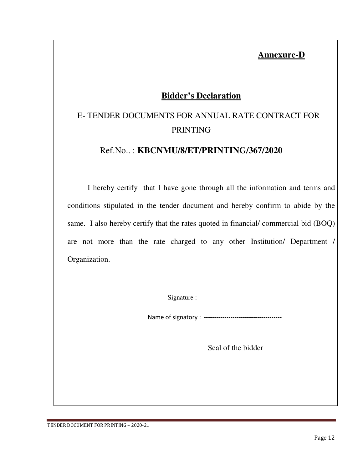## **Annexure-D**

## **Bidder's Declaration**

# E- TENDER DOCUMENTS FOR ANNUAL RATE CONTRACT FOR PRINTING

#### Ref.No.. : **KBCNMU/8/ET/PRINTING/367/2020**

I hereby certify that I have gone through all the information and terms and conditions stipulated in the tender document and hereby confirm to abide by the same. I also hereby certify that the rates quoted in financial/ commercial bid (BOQ) are not more than the rate charged to any other Institution/ Department / Organization.

Signature : -------------------------------------

Name of signatory : --------------------------------------

Seal of the bidder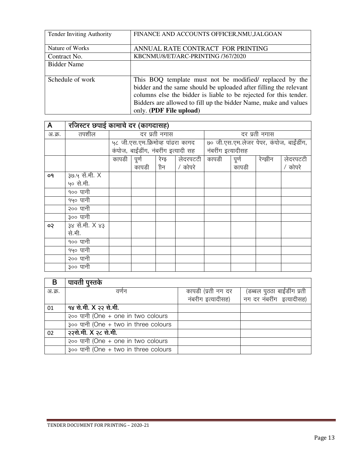| <b>Tender Inviting Authority</b> | FINANCE AND ACCOUNTS OFFICER, NMU, JALGOAN                                                                                                                                                                                                                                                      |
|----------------------------------|-------------------------------------------------------------------------------------------------------------------------------------------------------------------------------------------------------------------------------------------------------------------------------------------------|
| Nature of Works                  | ANNUAL RATE CONTRACT FOR PRINTING                                                                                                                                                                                                                                                               |
| Contract No.                     | KBCNMU/8/ET/ARC-PRINTING /367/2020                                                                                                                                                                                                                                                              |
| <b>Bidder Name</b>               |                                                                                                                                                                                                                                                                                                 |
| Schedule of work                 | This BOQ template must not be modified/ replaced by the<br>bidder and the same should be uploaded after filling the relevant<br>columns else the bidder is liable to be rejected for this tender.<br>Bidders are allowed to fill up the bidder Name, make and values<br>only. (PDF File upload) |

| A      | रजिस्टर छपाई कामाचे दर (कागदासह) |               |                                     |       |               |                                         |       |         |          |
|--------|----------------------------------|---------------|-------------------------------------|-------|---------------|-----------------------------------------|-------|---------|----------|
| अ.क्र. | तपशील                            | दर प्रती नगास |                                     |       | दर प्रती नगास |                                         |       |         |          |
|        |                                  |               | ५८ जी.एस.एम.क्रिमोव्ह पांढरा कागद   |       |               | ७० जी.एस.एम.लेजर पेपर, कंपोज, बाईंडींग, |       |         |          |
|        |                                  |               | कंपोज, बाईंडींग, नंबरींग इत्यादी सह |       |               | नंबरींग इत्यादीसह                       |       |         |          |
|        |                                  | कापडी         | पूर्ण                               | रेग्झ | लेदरपटटी      | कापडी                                   | पूर्ण | रेग्झीन | लेदरपटटी |
|        |                                  |               | कापडी                               | ीन    | / कोपरे       |                                         | कापडी |         | / कोपरे  |
| o٩     | ३७.५ सें.मी. X                   |               |                                     |       |               |                                         |       |         |          |
|        | ५० से.मी.                        |               |                                     |       |               |                                         |       |         |          |
|        | १०० पानी                         |               |                                     |       |               |                                         |       |         |          |
|        | १५० पानी                         |               |                                     |       |               |                                         |       |         |          |
|        | २०० पानी                         |               |                                     |       |               |                                         |       |         |          |
|        | ३०० पानी                         |               |                                     |       |               |                                         |       |         |          |
| ço     | <u>३४ सें.मी. X ४३</u>           |               |                                     |       |               |                                         |       |         |          |
|        | से.मी.                           |               |                                     |       |               |                                         |       |         |          |
|        | १०० पानी                         |               |                                     |       |               |                                         |       |         |          |
|        | १५० पानी                         |               |                                     |       |               |                                         |       |         |          |
|        | २०० पानी                         |               |                                     |       |               |                                         |       |         |          |
|        | ३०० पानी                         |               |                                     |       |               |                                         |       |         |          |

| B      | पावती पुस्तके                        |                    |                             |
|--------|--------------------------------------|--------------------|-----------------------------|
| अ.क्र. | वर्णन                                | कापडी (प्रती नग दर | (डब्बल पुठठा बाईंडींग प्रती |
|        |                                      | नंबरीग इत्यादीसह)  | नग दर नंबरींग इत्यादीसह)    |
| 01     | १४ से.मी. X २२ से.मी.                |                    |                             |
|        | २०० पानी (One + one in two colours   |                    |                             |
|        | ३०० पानी (One + two in three colours |                    |                             |
| 02     | २२से.मी. X २८ से.मी.                 |                    |                             |
|        | २०० पानी (One + one in two colours   |                    |                             |
|        | 300 पानी (One + two in three colours |                    |                             |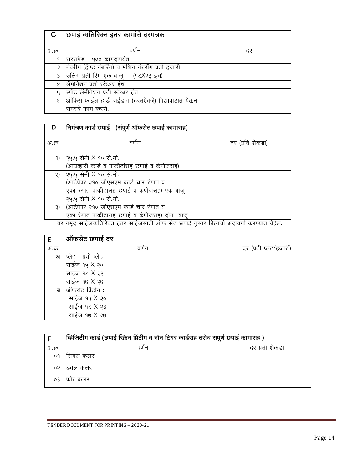|        | छपाई व्यतिरिक्त इतर कामांचे दरपत्रक                  |    |
|--------|------------------------------------------------------|----|
|        |                                                      |    |
| अ.क्र. | वणेन                                                 | दर |
| ٩      | सरसपॅड - ५०० कागदापयेंत                              |    |
| २      | नंबरींग (हॅण्ड नंबरिंग) व मशिन नंबरींग प्रती हजारी   |    |
| ३      | रुलिंग प्रती रिम एक बाजू (१८X२३ इंच)                 |    |
| 8      | लॅमीनेशन प्रती स्केअर इंच                            |    |
| 4      | स्पॉट लॅमीनेशन प्रती स्केअर इंच                      |    |
| 3      | ऑफिस फाईल हार्ड बाईंडींग (दस्तऐवजे) विद्यापीठात येऊन |    |
|        | सदरचे काम करणे.                                      |    |

| D      | निमंत्रण कार्ड छपाई (संपूर्ण ऑफसेट छपाई कामासह)                         |                                          |
|--------|-------------------------------------------------------------------------|------------------------------------------|
| अ.क्र. | वणन                                                                     | दर (प्रति शेकडा)                         |
|        |                                                                         |                                          |
| 9)     | २५.५ सेमी X १० से.मी.                                                   |                                          |
|        | (आयव्होरी कार्ड व पाकीटांसह छपाई व कंपोजसह)                             |                                          |
| २)     | २५.५ सेमी X १० से.मी.                                                   |                                          |
|        | (आर्टपेपर २१० जीएसएम कार्ड चार रंगात व                                  |                                          |
|        | एका रंगात पाकीटासह छपाई व कंपोजसह) एक बाजू                              |                                          |
|        | २५.५ सेमी X १० से.मी.                                                   |                                          |
| 3)     | (आर्टपेपर २१० जीएसएम कार्ड चार रंगात व                                  |                                          |
|        | एका रंगात पाकीटासह छपाई व कंपोजसह) दोन) बाजू<br>$\sim$ $\sim$<br>$\sim$ | $\sim$<br>$\sim$<br>$\sim$<br><u>. e</u> |

 $\overline{a}$ र नमूद साईजव्यतिरिक्त इतर साईजसाठी ऑफ सेट छपाई नुसार बिलाची अदायगी करण्यात येईल.

| Ε      | ऑफसेट छपाई दर       |                        |
|--------|---------------------|------------------------|
| अ.क्र. | वर्णन               | दर (प्रती प्लेट/हजारी) |
| 31     | प्लेट : प्रती प्लेट |                        |
|        | साईज १५ X २०        |                        |
|        | साईज १८ X २३        |                        |
|        | साईज १७ X २७        |                        |
| ब      | ऑफसेट प्रिंटींग :   |                        |
|        | साईज १५ X २०        |                        |
|        | साईज १८ X २३        |                        |
|        | साईज १७ X २७        |                        |

|        | व्हिजिटींग कार्ड (छपाई स्क्रिन प्रिटींग व नॉन टियर कार्डसह तसेच संपूर्ण छपाई कामासह) |                |
|--------|--------------------------------------------------------------------------------------|----------------|
| अ.क्र. | वणन                                                                                  | दर प्रती शेकडा |
| o9     | सिगल कलर                                                                             |                |
|        | डबल कलर                                                                              |                |
|        | फोर कलर                                                                              |                |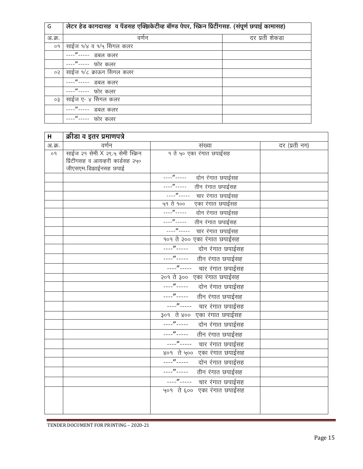| G         | लेटर हेड कागदासह व पॅडसह एक्झिकेटीव्ह बॉण्ड पेपर, स्क्रिन प्रिंटींगसह. (संपूर्ण छपाई कामासह) |                |  |
|-----------|----------------------------------------------------------------------------------------------|----------------|--|
| अ.क्र.    | वर्णन                                                                                        | दर प्रती शेकडा |  |
| 09        | साईज १/४ व १/५ सिंगल कलर                                                                     |                |  |
|           | --"----- डबल कलर                                                                             |                |  |
|           | ---"----- फोर कलर                                                                            |                |  |
| ०२        | साईज १/८ क्राऊन सिंगल कलर                                                                    |                |  |
|           | --"----- डबल कलर                                                                             |                |  |
|           | ---"----- फोर कलर                                                                            |                |  |
| $\circ$ 3 | साईज ए- ४ सिंगल कलर                                                                          |                |  |
|           | डबल कलर                                                                                      |                |  |
|           | --"-----<br>फोर कलर                                                                          |                |  |

| н      | क्रीडा व इतर प्रमाणपत्रे          |                                    |               |
|--------|-----------------------------------|------------------------------------|---------------|
| अ.क्र. | वर्णन                             | संख्या                             | दर (प्रती नग) |
| o9     | साईज २१ सेमी X २९.५ सेमी स्क्रिन  | १ ते ५० एका रंगात छपाईसह           |               |
|        | प्रिंटींगसह व आयव्हरी कार्डसह २५० |                                    |               |
|        | जीएसएम.डिझाईनसह छपाई              |                                    |               |
|        |                                   | दोन रंगात छपाईसह                   |               |
|        |                                   | ----"-----<br>तीन रंगात छपाईसह     |               |
|        |                                   | ----"----- चार रंगात छपाईसह        |               |
|        |                                   | ५१ ते १०० एका रंगात छपाईसह         |               |
|        |                                   | ----"----- दोन रंगात छपाईसह        |               |
|        |                                   | ----"-----<br>तीन रंगात छपाईसह     |               |
|        |                                   | ----"----- चार रंगात छपाईसह        |               |
|        |                                   | १०१ ते २०० एका रंगात छपाईसह        |               |
|        |                                   |                                    |               |
|        |                                   | ----"----- तीन रंगात छपाईसह        |               |
|        |                                   | ----"----- चार रंगात छपाईसह        |               |
|        |                                   | २०१ ते ३०० एका रंगात छपाईसह        |               |
|        |                                   | —---"------       दोन रंगात छपाईसह |               |
|        |                                   | ----"-----<br>तीन रंगात छपाईसह     |               |
|        |                                   | ----"----- चार रंगात छपाईसह        |               |
|        |                                   | ३०१ ते ४०० एका रंगात छपाईसह        |               |
|        |                                   | ----"----- दोन रंगात छपाईसह        |               |
|        |                                   | ----"-----<br>तीन रंगात छपाईसह     |               |
|        |                                   | ----"----- चार रंगात छपाईसह        |               |
|        |                                   | ४०१ ते ५०० एका रंगात छपाईसह        |               |
|        |                                   | ----"-----<br>दोन रंगात छपाईसह     |               |
|        |                                   | ----"----- तीन रंगात छपाईसह        |               |
|        |                                   | ----"----- चार रंगात छपाईसह        |               |
|        |                                   | ५०१) ते ६००) एका रंगात छपाईसह      |               |
|        |                                   |                                    |               |
|        |                                   |                                    |               |
|        |                                   |                                    |               |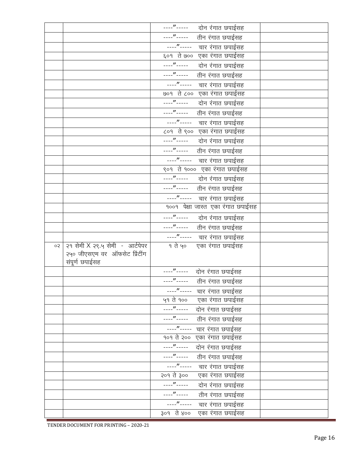| ----"----- तीन रंगात छपाईसह<br>----"----- चार रंगात छपाईसह<br>६०१ ते ७०० एका रंगात छपाईसह<br>----"----- तीन रंगात छपाईसह<br>----"----- चार रंगात छपाईसह<br>७०१ ते ८०० एका रंगात छपाईसह<br>—<br>----"-----       दोन रंगात छपाईसह<br>----"----- तीन रंगात छपाईसह<br>----"----- चार रंगात छपाईसह<br>८०१ ते ९०० एका रंगात छपाईसह<br>----"----- दोन रंगात छपाईसह<br>----"----- तीन रंगात छपाईसह<br>----"----- चार रंगात छपाईसह<br>९०१ ते १००० एका रंगात छपाईसह<br>----"----- दोन रंगात छपाईसह<br>----"----- तीन रंगात छपाईसह<br>----"----- चार रंगात छपाईसह<br>१००१ पेक्षा जास्त एका रंगात छपाईसह<br>----"----- दोन रंगात छपाईसह<br>----"----- तीन रंगात छपाईसह<br>----"----- चार रंगात छपाईसह<br>१ ते ५० एका रंगात छपाईसह<br>२१ सेमी X २९.५ सेमी - आर्टपेपर<br>ço<br>२५० जीएसएम वर ऑफसेट प्रिंटींग<br>संपूर्ण छपाईसह<br>----"----- दोन रंगात छपाईसह<br>----"----- तीन रंगात छपाईसह<br>----"----- चार रंगात छपाईसह<br>५१ ते १०० एका रंगात छपाईसह<br>----"----- दोन रंगात छपाईसह<br>----"-----<br>तीन रंगात छपाईसह<br>$---''$ -----<br>चार रंगात छपाईसह<br>एका रंगात छपाईसह<br>१०१ ते २००<br>----"-----<br>दोन रंगात छपाईसह<br>$---''$<br>तीन रंगात छपाईसह<br>$---''$ -----<br>चार रंगात छपाईसह<br>२०१ ते ३००<br>एका रंगात छपाईसह<br>$\cdots$ "-----<br>दोन रंगात छपाईसह<br>$---''$ -----<br>तीन रंगात छपाईसह<br>$\cdots$ "-----<br>चार रंगात छपाईसह |  | ----"----- दोन रंगात छपाईसह    |  |
|-------------------------------------------------------------------------------------------------------------------------------------------------------------------------------------------------------------------------------------------------------------------------------------------------------------------------------------------------------------------------------------------------------------------------------------------------------------------------------------------------------------------------------------------------------------------------------------------------------------------------------------------------------------------------------------------------------------------------------------------------------------------------------------------------------------------------------------------------------------------------------------------------------------------------------------------------------------------------------------------------------------------------------------------------------------------------------------------------------------------------------------------------------------------------------------------------------------------------------------------------------------------------------------------------------------------------------------------------|--|--------------------------------|--|
|                                                                                                                                                                                                                                                                                                                                                                                                                                                                                                                                                                                                                                                                                                                                                                                                                                                                                                                                                                                                                                                                                                                                                                                                                                                                                                                                                 |  |                                |  |
|                                                                                                                                                                                                                                                                                                                                                                                                                                                                                                                                                                                                                                                                                                                                                                                                                                                                                                                                                                                                                                                                                                                                                                                                                                                                                                                                                 |  |                                |  |
|                                                                                                                                                                                                                                                                                                                                                                                                                                                                                                                                                                                                                                                                                                                                                                                                                                                                                                                                                                                                                                                                                                                                                                                                                                                                                                                                                 |  |                                |  |
|                                                                                                                                                                                                                                                                                                                                                                                                                                                                                                                                                                                                                                                                                                                                                                                                                                                                                                                                                                                                                                                                                                                                                                                                                                                                                                                                                 |  |                                |  |
|                                                                                                                                                                                                                                                                                                                                                                                                                                                                                                                                                                                                                                                                                                                                                                                                                                                                                                                                                                                                                                                                                                                                                                                                                                                                                                                                                 |  |                                |  |
|                                                                                                                                                                                                                                                                                                                                                                                                                                                                                                                                                                                                                                                                                                                                                                                                                                                                                                                                                                                                                                                                                                                                                                                                                                                                                                                                                 |  |                                |  |
|                                                                                                                                                                                                                                                                                                                                                                                                                                                                                                                                                                                                                                                                                                                                                                                                                                                                                                                                                                                                                                                                                                                                                                                                                                                                                                                                                 |  |                                |  |
|                                                                                                                                                                                                                                                                                                                                                                                                                                                                                                                                                                                                                                                                                                                                                                                                                                                                                                                                                                                                                                                                                                                                                                                                                                                                                                                                                 |  |                                |  |
|                                                                                                                                                                                                                                                                                                                                                                                                                                                                                                                                                                                                                                                                                                                                                                                                                                                                                                                                                                                                                                                                                                                                                                                                                                                                                                                                                 |  |                                |  |
|                                                                                                                                                                                                                                                                                                                                                                                                                                                                                                                                                                                                                                                                                                                                                                                                                                                                                                                                                                                                                                                                                                                                                                                                                                                                                                                                                 |  |                                |  |
|                                                                                                                                                                                                                                                                                                                                                                                                                                                                                                                                                                                                                                                                                                                                                                                                                                                                                                                                                                                                                                                                                                                                                                                                                                                                                                                                                 |  |                                |  |
|                                                                                                                                                                                                                                                                                                                                                                                                                                                                                                                                                                                                                                                                                                                                                                                                                                                                                                                                                                                                                                                                                                                                                                                                                                                                                                                                                 |  |                                |  |
|                                                                                                                                                                                                                                                                                                                                                                                                                                                                                                                                                                                                                                                                                                                                                                                                                                                                                                                                                                                                                                                                                                                                                                                                                                                                                                                                                 |  |                                |  |
|                                                                                                                                                                                                                                                                                                                                                                                                                                                                                                                                                                                                                                                                                                                                                                                                                                                                                                                                                                                                                                                                                                                                                                                                                                                                                                                                                 |  |                                |  |
|                                                                                                                                                                                                                                                                                                                                                                                                                                                                                                                                                                                                                                                                                                                                                                                                                                                                                                                                                                                                                                                                                                                                                                                                                                                                                                                                                 |  |                                |  |
|                                                                                                                                                                                                                                                                                                                                                                                                                                                                                                                                                                                                                                                                                                                                                                                                                                                                                                                                                                                                                                                                                                                                                                                                                                                                                                                                                 |  |                                |  |
|                                                                                                                                                                                                                                                                                                                                                                                                                                                                                                                                                                                                                                                                                                                                                                                                                                                                                                                                                                                                                                                                                                                                                                                                                                                                                                                                                 |  |                                |  |
|                                                                                                                                                                                                                                                                                                                                                                                                                                                                                                                                                                                                                                                                                                                                                                                                                                                                                                                                                                                                                                                                                                                                                                                                                                                                                                                                                 |  |                                |  |
|                                                                                                                                                                                                                                                                                                                                                                                                                                                                                                                                                                                                                                                                                                                                                                                                                                                                                                                                                                                                                                                                                                                                                                                                                                                                                                                                                 |  |                                |  |
|                                                                                                                                                                                                                                                                                                                                                                                                                                                                                                                                                                                                                                                                                                                                                                                                                                                                                                                                                                                                                                                                                                                                                                                                                                                                                                                                                 |  |                                |  |
|                                                                                                                                                                                                                                                                                                                                                                                                                                                                                                                                                                                                                                                                                                                                                                                                                                                                                                                                                                                                                                                                                                                                                                                                                                                                                                                                                 |  |                                |  |
|                                                                                                                                                                                                                                                                                                                                                                                                                                                                                                                                                                                                                                                                                                                                                                                                                                                                                                                                                                                                                                                                                                                                                                                                                                                                                                                                                 |  |                                |  |
|                                                                                                                                                                                                                                                                                                                                                                                                                                                                                                                                                                                                                                                                                                                                                                                                                                                                                                                                                                                                                                                                                                                                                                                                                                                                                                                                                 |  |                                |  |
|                                                                                                                                                                                                                                                                                                                                                                                                                                                                                                                                                                                                                                                                                                                                                                                                                                                                                                                                                                                                                                                                                                                                                                                                                                                                                                                                                 |  |                                |  |
|                                                                                                                                                                                                                                                                                                                                                                                                                                                                                                                                                                                                                                                                                                                                                                                                                                                                                                                                                                                                                                                                                                                                                                                                                                                                                                                                                 |  |                                |  |
|                                                                                                                                                                                                                                                                                                                                                                                                                                                                                                                                                                                                                                                                                                                                                                                                                                                                                                                                                                                                                                                                                                                                                                                                                                                                                                                                                 |  |                                |  |
|                                                                                                                                                                                                                                                                                                                                                                                                                                                                                                                                                                                                                                                                                                                                                                                                                                                                                                                                                                                                                                                                                                                                                                                                                                                                                                                                                 |  |                                |  |
|                                                                                                                                                                                                                                                                                                                                                                                                                                                                                                                                                                                                                                                                                                                                                                                                                                                                                                                                                                                                                                                                                                                                                                                                                                                                                                                                                 |  |                                |  |
|                                                                                                                                                                                                                                                                                                                                                                                                                                                                                                                                                                                                                                                                                                                                                                                                                                                                                                                                                                                                                                                                                                                                                                                                                                                                                                                                                 |  |                                |  |
|                                                                                                                                                                                                                                                                                                                                                                                                                                                                                                                                                                                                                                                                                                                                                                                                                                                                                                                                                                                                                                                                                                                                                                                                                                                                                                                                                 |  |                                |  |
|                                                                                                                                                                                                                                                                                                                                                                                                                                                                                                                                                                                                                                                                                                                                                                                                                                                                                                                                                                                                                                                                                                                                                                                                                                                                                                                                                 |  |                                |  |
|                                                                                                                                                                                                                                                                                                                                                                                                                                                                                                                                                                                                                                                                                                                                                                                                                                                                                                                                                                                                                                                                                                                                                                                                                                                                                                                                                 |  |                                |  |
|                                                                                                                                                                                                                                                                                                                                                                                                                                                                                                                                                                                                                                                                                                                                                                                                                                                                                                                                                                                                                                                                                                                                                                                                                                                                                                                                                 |  |                                |  |
|                                                                                                                                                                                                                                                                                                                                                                                                                                                                                                                                                                                                                                                                                                                                                                                                                                                                                                                                                                                                                                                                                                                                                                                                                                                                                                                                                 |  |                                |  |
|                                                                                                                                                                                                                                                                                                                                                                                                                                                                                                                                                                                                                                                                                                                                                                                                                                                                                                                                                                                                                                                                                                                                                                                                                                                                                                                                                 |  |                                |  |
|                                                                                                                                                                                                                                                                                                                                                                                                                                                                                                                                                                                                                                                                                                                                                                                                                                                                                                                                                                                                                                                                                                                                                                                                                                                                                                                                                 |  |                                |  |
|                                                                                                                                                                                                                                                                                                                                                                                                                                                                                                                                                                                                                                                                                                                                                                                                                                                                                                                                                                                                                                                                                                                                                                                                                                                                                                                                                 |  |                                |  |
|                                                                                                                                                                                                                                                                                                                                                                                                                                                                                                                                                                                                                                                                                                                                                                                                                                                                                                                                                                                                                                                                                                                                                                                                                                                                                                                                                 |  |                                |  |
|                                                                                                                                                                                                                                                                                                                                                                                                                                                                                                                                                                                                                                                                                                                                                                                                                                                                                                                                                                                                                                                                                                                                                                                                                                                                                                                                                 |  |                                |  |
|                                                                                                                                                                                                                                                                                                                                                                                                                                                                                                                                                                                                                                                                                                                                                                                                                                                                                                                                                                                                                                                                                                                                                                                                                                                                                                                                                 |  | ३०१ ते ४००<br>एका रंगात छपाईसह |  |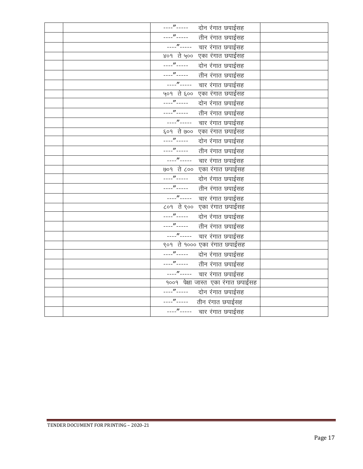| ----"----- दोन रंगात छपाईसह                                                                                                                                                                                                                                                                                                           |  |
|---------------------------------------------------------------------------------------------------------------------------------------------------------------------------------------------------------------------------------------------------------------------------------------------------------------------------------------|--|
| ----"----- तीन रंगात छपाईसह                                                                                                                                                                                                                                                                                                           |  |
| ----"----- चार रंगात छपाईसह                                                                                                                                                                                                                                                                                                           |  |
| ४०१) ते ५००) एका रंगात छपाईसह                                                                                                                                                                                                                                                                                                         |  |
| ----"-----<br>दोन रंगात छपाईसह                                                                                                                                                                                                                                                                                                        |  |
| ----"----- तीन रंगात छपाईसह                                                                                                                                                                                                                                                                                                           |  |
| ----"----- वार रंगात छपाईसह                                                                                                                                                                                                                                                                                                           |  |
| ५०१ ते ६०० एका रंगात छपाईसह                                                                                                                                                                                                                                                                                                           |  |
| ----"----- दोन रंगात छपाईसह                                                                                                                                                                                                                                                                                                           |  |
| $\cdots$ " - - - - -<br>तीन रंगात छपाईसह                                                                                                                                                                                                                                                                                              |  |
| ----"----- वार रंगात छपाईसह                                                                                                                                                                                                                                                                                                           |  |
| ६०१ ते ७०० एका रंगात छपाईसह                                                                                                                                                                                                                                                                                                           |  |
|                                                                                                                                                                                                                                                                                                                                       |  |
| $\cdots$ " $\cdots$ " $\cdots$ " $\cdots$ " $\cdots$ " $\cdots$ " $\cdots$ " $\cdots$ " $\cdots$ " $\cdots$ " $\cdots$ " $\cdots$ " $\cdots$ " $\cdots$ " $\cdots$ " $\cdots$ " $\cdots$ " $\cdots$ " $\cdots$ " $\cdots$ " $\cdots$ " $\cdots$ " $\cdots$ " $\cdots$ " $\cdots$ " $\cdots$ " $\cdots$ " $\cdots$<br>तीन रंगात छपाईसह |  |
| ----"----- चार रंगात छपाईसह                                                                                                                                                                                                                                                                                                           |  |
| ७०१ ते ८०० एका रंगात छपाईसह                                                                                                                                                                                                                                                                                                           |  |
| ----"----- दोन रंगात छपाईसह                                                                                                                                                                                                                                                                                                           |  |
|                                                                                                                                                                                                                                                                                                                                       |  |
| ----"----- चार रंगात छपाईसह                                                                                                                                                                                                                                                                                                           |  |
| ८०१ ते ९०० एका रंगात छपाईसह                                                                                                                                                                                                                                                                                                           |  |
| _______________ द <u>ोन रंगात छपाईसह</u>                                                                                                                                                                                                                                                                                              |  |
| ----"----- तीन रंगात छपाईसह                                                                                                                                                                                                                                                                                                           |  |
| ----"----- चार रंगात छपाईसह                                                                                                                                                                                                                                                                                                           |  |
| ९०१) ते १००० एका रंगात छपाईसह                                                                                                                                                                                                                                                                                                         |  |
| ----"----- दोन रंगात छपाईसह                                                                                                                                                                                                                                                                                                           |  |
| ----"----- तीन रंगात छपाईसह                                                                                                                                                                                                                                                                                                           |  |
| ----"----- चार रंगात छपाईसह                                                                                                                                                                                                                                                                                                           |  |
| १००१ पेक्षा जास्त एका रंगात छपाईसह                                                                                                                                                                                                                                                                                                    |  |
| ----"----- दोन रंगात छपाईसह                                                                                                                                                                                                                                                                                                           |  |
| ----"----- तीन रंगात छपाईसह                                                                                                                                                                                                                                                                                                           |  |
| ----"----- चार रंगात छपाईसह                                                                                                                                                                                                                                                                                                           |  |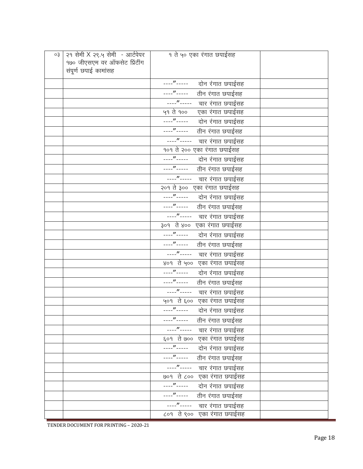| o3 | २१ सेमी X २९.५ सेमी - आर्टपेपर | १ ते ५० एका रंगात छपाईसह          |  |
|----|--------------------------------|-----------------------------------|--|
|    | १७० जीएसएम वर ऑफसेट प्रिंटींग  |                                   |  |
|    | संपूर्ण छपाई कामांसह           |                                   |  |
|    |                                | ----"----- दोन रंगात छपाईसह       |  |
|    |                                | ----"-----<br>तीन रंगात छपाईसह    |  |
|    |                                | ----"----- चार रंगात छपाईसह       |  |
|    |                                | ५१ ते १००<br>एका रंगात छपाईसह     |  |
|    |                                | ----"-----<br>दोन रंगात छपाईसह    |  |
|    |                                | ----"-----<br>तीन रंगात छपाईसह    |  |
|    |                                | ----"----- चार रंगात छपाईसह       |  |
|    |                                | १०१ ते २०० एका रंगात छपाईसह       |  |
|    |                                | ----"----- दोन रंगात छपाईसह       |  |
|    |                                | ----"----- तीन रंगात छपाईसह       |  |
|    |                                | ----"----- चार रंगात छपाईसह       |  |
|    |                                | २०१ ते ३०० एका रंगात छपाईसह       |  |
|    |                                | ----"----- दोन रंगात छपाईसह       |  |
|    |                                | ----"----- तीन रंगात छपाईसह       |  |
|    |                                | ----"----- चार रंगात छपाईसह       |  |
|    |                                | ३०१ ते ४०० एका रंगात छपाईसह       |  |
|    |                                | ----"-----<br>दोन रंगात छपाईसह    |  |
|    |                                | ----"-----<br>तीन रंगात छपाईसह    |  |
|    |                                | ----"-----<br>चार रंगात छपाईसह    |  |
|    |                                | ४०१ ते ५०० एका रंगात छपाईसह       |  |
|    |                                | ----"----- दोन रंगात छपाईसह       |  |
|    |                                | ----"-----<br>तीन रंगात छपाईसह    |  |
|    |                                | ______________ चार रंगात छपाईसह   |  |
|    |                                | ५०१ ते ६०० एका रंगात छपाईसह       |  |
|    |                                | ----"----- दोन रंगात छपाईसह       |  |
|    |                                | ----"-----<br>तीन रंगात छपाईसह    |  |
|    |                                | ----"-----<br>चार रंगात छपाईसह    |  |
|    |                                | ६०१ ते ७०० एका रंगात छपाईसह       |  |
|    |                                | ----"-----<br>दोन रंगात छपाईसह    |  |
|    |                                | ----"-----<br>तीन रंगात छपाईसह    |  |
|    |                                | $---''$ -----<br>चार रंगात छपाईसह |  |
|    |                                | ७०१ ते ८०० एका रंगात छपाईसह       |  |
|    |                                | ----"-----<br>दोन रंगात छपाईसह    |  |
|    |                                | ----"-----<br>तीन रंगात छपाईसह    |  |
|    |                                | ----"-----<br>चार रंगात छपाईसह    |  |
|    |                                | ८०१ ते ९०० एका रंगात छपाईसह       |  |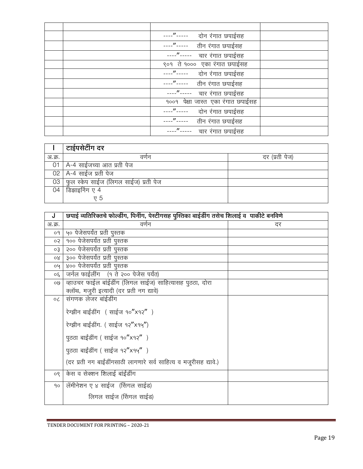| $\mathcal{L}$ $\mathcal{L}$<br>दोन रंगात छपाईसह |  |
|-------------------------------------------------|--|
| ---"----- तीन रंगात छपाईसह                      |  |
| ---"----- वार रंगात छपाईसह                      |  |
| ९०१ ते १००० एका रंगात छपाईसह                    |  |
| ----"-----     दोन रंगात छपाईसह                 |  |
| ----"----- तीन रंगात छपाईसह                     |  |
| ---"----- चार रंगात छपाईसह                      |  |
| १००१ पेक्षा जास्त एका रंगात छपाईसह              |  |
| दोन रंगात छपाईसह                                |  |
| तीन रंगात छपाईसह                                |  |
| $ \frac{n}{2}$ - - - - - -<br>चार रंगात छपाईसह  |  |

|        | टाईपसेटींग दर                             |                |
|--------|-------------------------------------------|----------------|
| अ.क्र. | वर्णन                                     | दर (प्रती पेज) |
|        | 01   A-4 साईजच्या आत प्रती पेज            |                |
|        | 02 A-4 साईज प्रती पेज                     |                |
|        | 03   फुल स्केप साईज (लिगल साईज) प्रती पेज |                |
|        | 04 डिझाइनिंग ए 4                          |                |
|        | v 5                                       |                |

| J       | छपाई व्यतिरिक्तचे फोल्डींग, पिनींग, पेस्टीगसह पुस्तिका बाईडींग तसेच शिलाई व  पाकीटे बनविणे |    |  |
|---------|--------------------------------------------------------------------------------------------|----|--|
| अ.क्र.  | वर्णन                                                                                      | दर |  |
| 09      | ५० पेजेसपर्यंत प्रती पुस्तक                                                                |    |  |
| ०२      | १०० पेजेसपर्यंत प्रती पुस्तक                                                               |    |  |
| оҘ      | २०० पेजेसपर्यंत प्रती पुस्तक                                                               |    |  |
| 80      | ३०० पेजेसपर्यंत प्रती पुस्तक                                                               |    |  |
| 04      | ४०० पेजेसपर्यंत प्रती पुस्तक                                                               |    |  |
| ०६      | जर्नल फाईलींग (१ ते २०० पेजेस पर्यंत)                                                      |    |  |
| ol9     | व्हाउचर फाईल बाईडींग (लिगल साईज) साहित्यासह पुठठा, दोरा                                    |    |  |
|         | क्लॉथ, मजुरी इत्यादी (दर प्रती नग द्यावे)                                                  |    |  |
| $\circ$ | संगणक लेजर बांईडींग                                                                        |    |  |
|         | रेग्झीन बाईंडींग ( साईज १०" x१२" )                                                         |    |  |
|         | रेग्झीन बाईंडींग. ( साईज १२" x१५")                                                         |    |  |
|         | पुठठा बाईंडींग ( साईज १०"x१२" )                                                            |    |  |
|         | पुठठा बाईंडींग ( साईज १२"x१५")                                                             |    |  |
|         | (दर प्रती नग बाईंडींगसाठी लागणारे सर्व साहित्य व मजूरीसह द्यावे.)                          |    |  |
| ०९      | केस व सेक्शन शिलाई बांईंडींग                                                               |    |  |
| 90      | लॅमीनेशन ए ४ साईज (सिंगल साईड)                                                             |    |  |
|         | लिगल साईज (सिंगल साईड)                                                                     |    |  |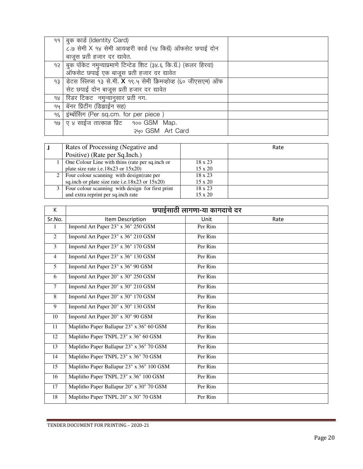| 99   बुक कार्ड (Identity Card)                                        |  |
|-----------------------------------------------------------------------|--|
| ८.७ सेमी X १४ सेमी आयव्हरी कार्ड (१४ किग्रॅ) ऑफसेट छपाई दोन           |  |
| बाजूस प्रती हजार दर द्यावेत.                                          |  |
| 9२   बुक पॉकेट नमुन्याप्रमाणे टिन्टेड शिट (३४.६ कि.ग्रॅ.) (कलर हिरवा) |  |
| ऑफसेट छपाई एक बाजूस प्रती हजार दर द्यावेत                             |  |
| 93 डिटस स्लिप्स १३ से.मी. X १९.५ सेमी क्रिमव्होव्ह (६० जीएसएम) ऑफ     |  |
| सेट छपाई दोन बाजूस प्रती हजार दर द्यावेत                              |  |
| १४ सिडर टिकट) नमुन्यानुसार प्रती नग.                                  |  |
| १५   बॅनर प्रिंटींग (डिझाईन सह)                                       |  |
| १६ इंम्बॉसिंग (Per sq.cm. for per piece)                              |  |
| 90 ए ४ साईज तात्काळ प्रिंट 900 GSM Map.                               |  |
| 240 GSM Art Card                                                      |  |

| Rates of Processing (Negative and<br>Positive) (Rate per Sq. Inch.) |                | Rate |
|---------------------------------------------------------------------|----------------|------|
| One Colour Line with thins (rate per sq.inch or                     | $18 \times 23$ |      |
| plate size rate i.e.18x23 or $15x20$ )                              | $15 \times 20$ |      |
| 2   Four colour scanning with design (rate per                      | 18 x 23        |      |
| sq.inch or plate size rate i.e.18 $x23$ or 15 $x20$ )               | $15 \times 20$ |      |
| Four colour scanning with design for first print                    | $18 \times 23$ |      |
| and extra reprint per sq.inch rate                                  | $15 \times 20$ |      |

| K              | छपाईसाठी लागणा-या कागदाचे दर              |         |      |
|----------------|-------------------------------------------|---------|------|
| Sr.No.         | Item Description                          | Unit    | Rate |
| 1              | Importd Art Paper 23" x 36" 250 GSM       | Per Rim |      |
| 2              | Importd Art Paper 23" x 36" 210 GSM       | Per Rim |      |
| 3              | Importd Art Paper 23" x 36" 170 GSM       | Per Rim |      |
| $\overline{4}$ | Importd Art Paper 23" x 36" 130 GSM       | Per Rim |      |
| 5              | Importd Art Paper 23" x 36" 90 GSM        | Per Rim |      |
| 6              | Importd Art Paper 20" x 30" 250 GSM       | Per Rim |      |
| $\tau$         | Importd Art Paper 20" x 30" 210 GSM       | Per Rim |      |
| 8              | Importd Art Paper 20" x 30" 170 GSM       | Per Rim |      |
| 9              | Importd Art Paper 20" x 30" 130 GSM       | Per Rim |      |
| 10             | Importd Art Paper 20" x 30" 90 GSM        | Per Rim |      |
| 11             | Maplitho Paper Ballapur 23" x 36" 60 GSM  | Per Rim |      |
| 12             | Maplitho Paper TNPL 23" x 36" 60 GSM      | Per Rim |      |
| 13             | Maplitho Paper Ballapur 23" x 36" 70 GSM  | Per Rim |      |
| 14             | Maplitho Paper TNPL 23" x 36" 70 GSM      | Per Rim |      |
| 15             | Maplitho Paper Ballapur 23" x 36" 100 GSM | Per Rim |      |
| 16             | Maplitho Paper TNPL 23" x 36" 100 GSM     | Per Rim |      |
| 17             | Maplitho Paper Ballapur 20" x 30" 70 GSM  | Per Rim |      |
| 18             | Maplitho Paper TNPL 20" x 30" 70 GSM      | Per Rim |      |